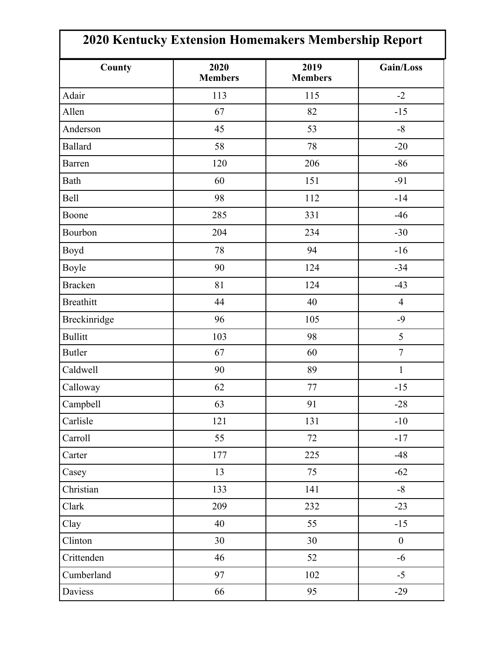| 2020 Kentucky Extension Homemakers Membership Report |                        |                        |                  |  |
|------------------------------------------------------|------------------------|------------------------|------------------|--|
| County                                               | 2020<br><b>Members</b> | 2019<br><b>Members</b> | Gain/Loss        |  |
| Adair                                                | 113                    | 115                    | $-2$             |  |
| Allen                                                | 67                     | 82                     | $-15$            |  |
| Anderson                                             | 45                     | 53                     | $-8$             |  |
| <b>Ballard</b>                                       | 58                     | 78                     | $-20$            |  |
| <b>Barren</b>                                        | 120                    | 206                    | $-86$            |  |
| Bath                                                 | 60                     | 151                    | $-91$            |  |
| <b>Bell</b>                                          | 98                     | 112                    | $-14$            |  |
| Boone                                                | 285                    | 331                    | $-46$            |  |
| Bourbon                                              | 204                    | 234                    | $-30$            |  |
| Boyd                                                 | 78                     | 94                     | $-16$            |  |
| Boyle                                                | 90                     | 124                    | $-34$            |  |
| <b>Bracken</b>                                       | 81                     | 124                    | $-43$            |  |
| <b>Breathitt</b>                                     | 44                     | 40                     | $\overline{4}$   |  |
| Breckinridge                                         | 96                     | 105                    | $-9$             |  |
| <b>Bullitt</b>                                       | 103                    | 98                     | 5                |  |
| <b>Butler</b>                                        | 67                     | 60                     | $\boldsymbol{7}$ |  |
| Caldwell                                             | 90                     | 89                     | $\mathbf{1}$     |  |
| Calloway                                             | 62                     | 77                     | $-15$            |  |
| Campbell                                             | 63                     | 91                     | $-28$            |  |
| Carlisle                                             | 121                    | 131                    | $-10$            |  |
| Carroll                                              | 55                     | 72                     | $-17$            |  |
| Carter                                               | 177                    | 225                    | $-48$            |  |
| Casey                                                | 13                     | 75                     | $-62$            |  |
| Christian                                            | 133                    | 141                    | $-8$             |  |
| Clark                                                | 209                    | 232                    | $-23$            |  |
| Clay                                                 | 40                     | 55                     | $-15$            |  |
| Clinton                                              | 30                     | 30                     | $\boldsymbol{0}$ |  |
| Crittenden                                           | 46                     | 52                     | $-6$             |  |
| Cumberland                                           | 97                     | 102                    | $-5$             |  |
| Daviess                                              | 66                     | 95                     | $-29$            |  |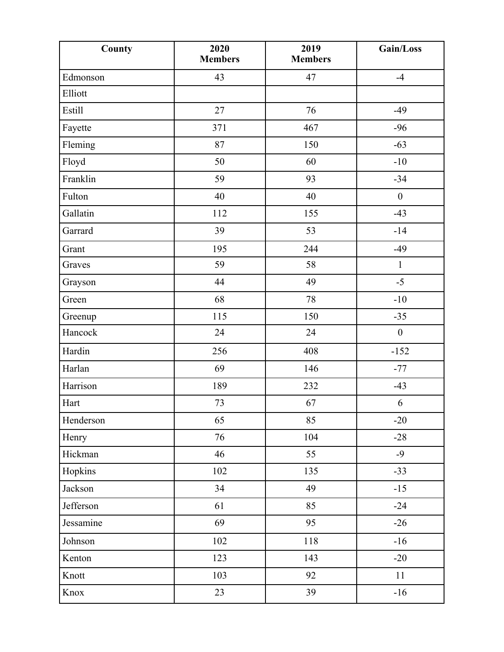| County    | 2020<br><b>Members</b> | 2019<br><b>Members</b> | Gain/Loss        |
|-----------|------------------------|------------------------|------------------|
| Edmonson  | 43                     | 47                     | $-4$             |
| Elliott   |                        |                        |                  |
| Estill    | 27                     | 76                     | $-49$            |
| Fayette   | 371                    | 467                    | $-96$            |
| Fleming   | 87                     | 150                    | $-63$            |
| Floyd     | 50                     | 60                     | $-10$            |
| Franklin  | 59                     | 93                     | $-34$            |
| Fulton    | 40                     | 40                     | $\boldsymbol{0}$ |
| Gallatin  | 112                    | 155                    | $-43$            |
| Garrard   | 39                     | 53                     | $-14$            |
| Grant     | 195                    | 244                    | $-49$            |
| Graves    | 59                     | 58                     | $\mathbf{1}$     |
| Grayson   | 44                     | 49                     | $-5$             |
| Green     | 68                     | 78                     | $-10$            |
| Greenup   | 115                    | 150                    | $-35$            |
| Hancock   | 24                     | 24                     | $\boldsymbol{0}$ |
| Hardin    | 256                    | 408                    | $-152$           |
| Harlan    | 69                     | 146                    | $-77$            |
| Harrison  | 189                    | 232                    | $-43$            |
| Hart      | 73                     | 67                     | $\sqrt{6}$       |
| Henderson | 65                     | 85                     | $-20$            |
| Henry     | 76                     | 104                    | $-28$            |
| Hickman   | 46                     | 55                     | $-9$             |
| Hopkins   | 102                    | 135                    | $-33$            |
| Jackson   | 34                     | 49                     | $-15$            |
| Jefferson | 61                     | 85                     | $-24$            |
| Jessamine | 69                     | 95                     | $-26$            |
| Johnson   | 102                    | 118                    | $-16$            |
| Kenton    | 123                    | 143                    | $-20$            |
| Knott     | 103                    | 92                     | 11               |
| Knox      | 23                     | 39                     | $-16$            |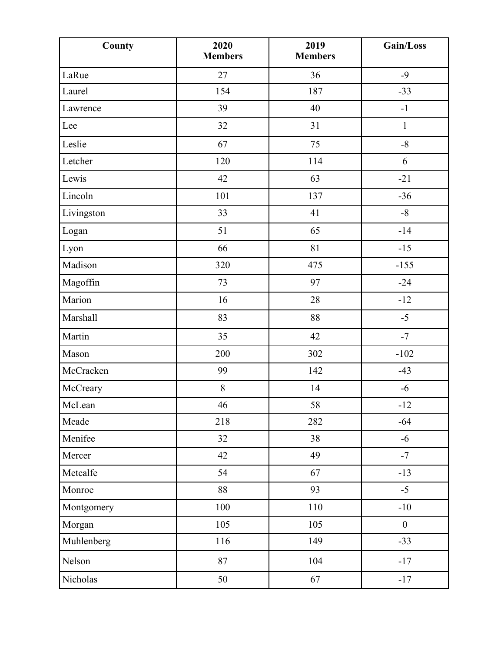| County     | 2020<br><b>Members</b> | 2019<br><b>Members</b> | Gain/Loss        |
|------------|------------------------|------------------------|------------------|
| LaRue      | 27                     | 36                     | $-9$             |
| Laurel     | 154                    | 187                    | $-33$            |
| Lawrence   | 39                     | 40                     | $-1$             |
| Lee        | 32                     | 31                     | $\mathbf{1}$     |
| Leslie     | 67                     | 75                     | $-8$             |
| Letcher    | 120                    | 114                    | 6                |
| Lewis      | 42                     | 63                     | $-21$            |
| Lincoln    | 101                    | 137                    | $-36$            |
| Livingston | 33                     | 41                     | $-8$             |
| Logan      | 51                     | 65                     | $-14$            |
| Lyon       | 66                     | 81                     | $-15$            |
| Madison    | 320                    | 475                    | $-155$           |
| Magoffin   | 73                     | 97                     | $-24$            |
| Marion     | 16                     | 28                     | $-12$            |
| Marshall   | 83                     | 88                     | $-5$             |
| Martin     | 35                     | 42                     | $-7$             |
| Mason      | 200                    | 302                    | $-102$           |
| McCracken  | 99                     | 142                    | $-43$            |
| McCreary   | $\, 8$                 | 14                     | $-6$             |
| McLean     | 46                     | 58                     | $-12$            |
| Meade      | 218                    | 282                    | $-64$            |
| Menifee    | 32                     | 38                     | $-6$             |
| Mercer     | 42                     | 49                     | $-7$             |
| Metcalfe   | 54                     | 67                     | $-13$            |
| Monroe     | 88                     | 93                     | $-5$             |
| Montgomery | 100                    | 110                    | $-10$            |
| Morgan     | 105                    | 105                    | $\boldsymbol{0}$ |
| Muhlenberg | 116                    | 149                    | $-33$            |
| Nelson     | 87                     | 104                    | $-17$            |
| Nicholas   | 50                     | 67                     | $-17$            |